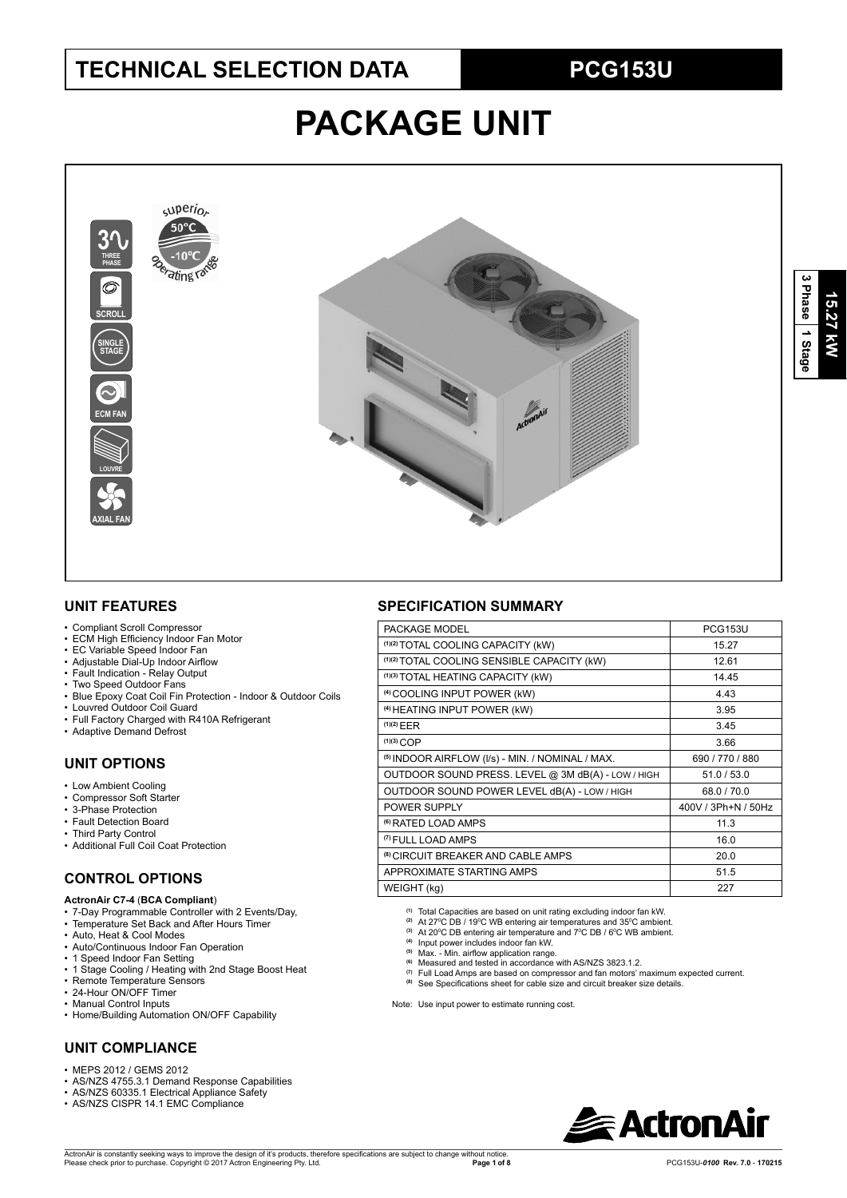# **TECHNICAL SELECTION DATA PCG153U**

# **PACKAGE UNIT**



### **UNIT FEATURES**

- Compliant Scroll Compressor
- ECM High Efficiency Indoor Fan Motor
- EC Variable Speed Indoor Fan
- Adjustable Dial-Up Indoor Airflow
- Fault Indication Relay Output
- Two Speed Outdoor Fans
- Blue Epoxy Coat Coil Fin Protection Indoor & Outdoor Coils
- Louvred Outdoor Coil Guard
- Full Factory Charged with R410A Refrigerant
- Adaptive Demand Defrost

## **UNIT OPTIONS**

- Low Ambient Cooling
- Compressor Soft Starter
- 3-Phase Protection
- Fault Detection Board
- Third Party Control
- Additional Full Coil Coat Protection

## **CONTROL OPTIONS**

#### **ActronAir C7-4** (**BCA Compliant**)

- 7-Day Programmable Controller with 2 Events/Day,
- Temperature Set Back and After Hours Timer
- Auto, Heat & Cool Modes
- Auto/Continuous Indoor Fan Operation • 1 Speed Indoor Fan Setting
- 
- 1 Stage Cooling / Heating with 2nd Stage Boost Heat
- Remote Temperature Sensors • 24-Hour ON/OFF Timer
- Manual Control Inputs
- Home/Building Automation ON/OFF Capability

# **UNIT COMPLIANCE**

- $\cdot$  MEPS 2012 / GEMS 2012
- AS/NZS 4755.3.1 Demand Response Capabilities
- AS/NZS 60335.1 Electrical Appliance Safety
- AS/NZS CISPR 14.1 EMC Compliance

### **SPECIFICATION SUMMARY**

| PACKAGE MODEL                                               | <b>PCG153U</b>      |
|-------------------------------------------------------------|---------------------|
| (1)(2) TOTAL COOLING CAPACITY (kW)                          | 15.27               |
| (1)(2) TOTAL COOLING SENSIBLE CAPACITY (kW)                 | 12.61               |
| (1)(3) TOTAL HEATING CAPACITY (kW)                          | 14.45               |
| <sup>(4)</sup> COOLING INPUT POWER (kW)                     | 4.43                |
| <sup>(4)</sup> HEATING INPUT POWER (kW)                     | 3.95                |
| (1)(2) EER                                                  | 3.45                |
| $(1)(3)$ COP                                                | 3.66                |
| <sup>(5)</sup> INDOOR AIRFLOW (I/s) - MIN. / NOMINAL / MAX. | 690 / 770 / 880     |
| OUTDOOR SOUND PRESS. LEVEL @ 3M dB(A) - LOW / HIGH          | 51.0 / 53.0         |
| OUTDOOR SOUND POWER LEVEL dB(A) - LOW / HIGH                | 68.0/70.0           |
| POWER SUPPLY                                                | 400V / 3Ph+N / 50Hz |
| <sup>(6)</sup> RATED LOAD AMPS                              | 11.3                |
| <sup>(7)</sup> FULL LOAD AMPS                               | 16.0                |
| <sup>(8)</sup> CIRCUIT BREAKER AND CABLE AMPS               | 20.0                |
| APPROXIMATE STARTING AMPS                                   | 51.5                |
| WEIGHT (kg)                                                 | 227                 |
|                                                             |                     |

**(1)** Total Capacities are based on unit rating excluding indoor fan kW.

- <sup>(2)</sup> At 27<sup>°</sup>C DB / 19<sup>°</sup>C WB entering air temperatures and 35<sup>°</sup>C ambient.
- <sup>(3)</sup> At 20<sup>°</sup>C DB entering air temperature and 7<sup>°</sup>C DB / 6<sup>°</sup>C WB ambient. **(4)** Input power includes indoor fan kW.
- 
- <sup>(5)</sup> Max. Min. airflow application range.<br><sup>(6)</sup> Measured and tested in accordance with AS/NZS 3823.1.2.
- **(7)** Full Load Amps are based on compressor and fan motors' maximum expected current.
- (8) See Specifications sheet for cable size and circuit breaker size details.
- 
- Note: Use input power to estimate running cost.

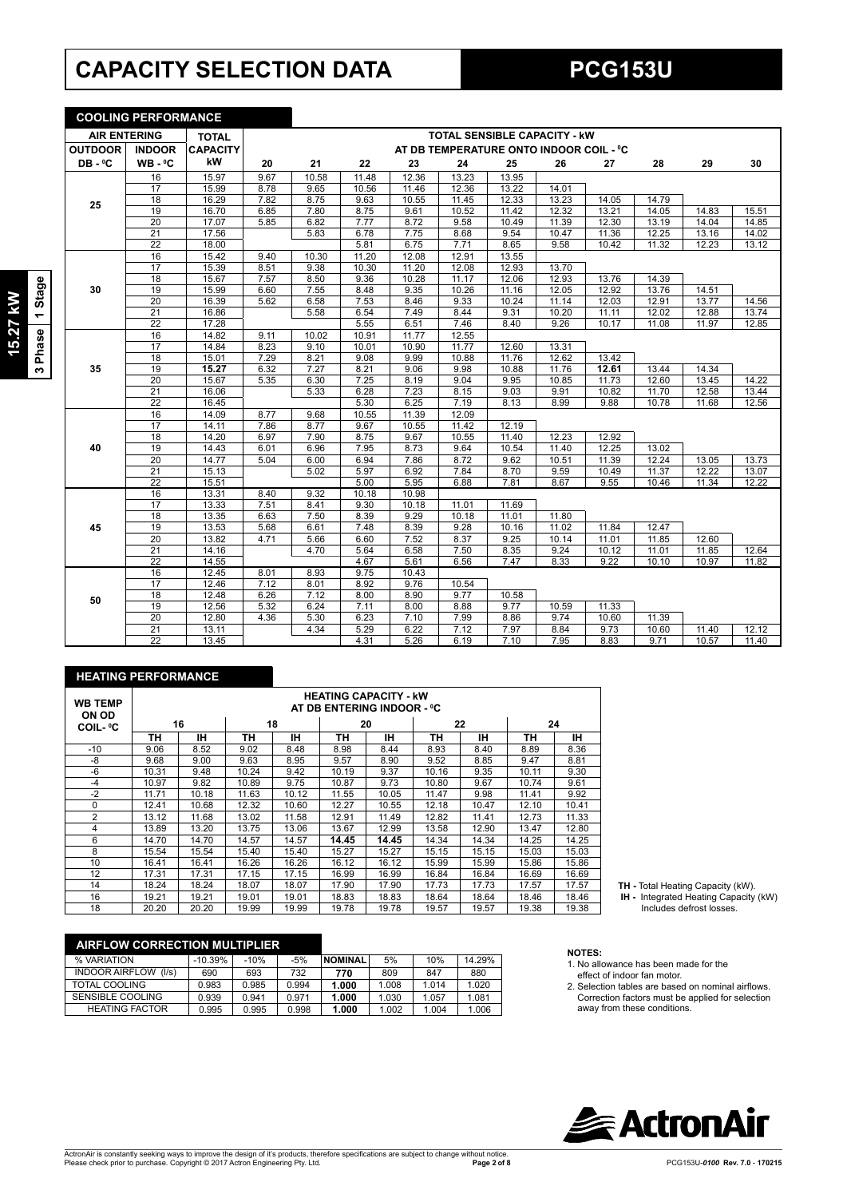# **CAPACITY SELECTION DATA PCG153U**

**COOLING PERFORMANCE**

| Ø<br>Ų<br>ັທ |
|--------------|
| မ္ဘ<br>σ     |

 $\overline{3}$ 

| <b>AIR ENTERING</b> |                 | <b>TOTAL</b>    |                           |              |              |               | <b>TOTAL SENSIBLE CAPACITY - KW</b>     |               |              |                |       |                |       |
|---------------------|-----------------|-----------------|---------------------------|--------------|--------------|---------------|-----------------------------------------|---------------|--------------|----------------|-------|----------------|-------|
| <b>OUTDOOR</b>      | <b>INDOOR</b>   | <b>CAPACITY</b> |                           |              |              |               | AT DB TEMPERATURE ONTO INDOOR COIL - °C |               |              |                |       |                |       |
| DB-°C               | $WB - C$        | kW              | 20                        | 21           | 22           | 23            | 24                                      | 25            | 26           | 27             | 28    | 29             | 30    |
|                     | 16              | 15.97           | 9.67                      | 10.58        | 11.48        | 12.36         | 13.23                                   | 13.95         |              |                |       |                |       |
|                     | 17              | 15.99           | 8.78                      | 9.65         | 10.56        | 11.46         | 12.36                                   | 13.22         | 14.01        |                |       |                |       |
| 25                  | 18              | 16.29           | 7.82                      | 8.75         | 9.63         | 10.55         | 11.45                                   | 12.33         | 13.23        | 14.05          | 14.79 |                |       |
|                     | 19              | 16.70           | 6.85                      | 7.80         | 8.75         | 9.61          | 10.52                                   | 11.42         | 12.32        | 13.21          | 14.05 | 14.83          | 15.51 |
|                     | 20              | 17.07           | 5.85                      | 6.82         | 7.77         | 8.72          | 9.58                                    | 10.49         | 11.39        | 12.30          | 13.19 | 14.04          | 14.85 |
|                     | $\overline{21}$ | 17.56           |                           | 5.83         | 6.78         | 7.75          | 8.68                                    | 9.54          | 10.47        | 11.36          | 12.25 | 13.16          | 14.02 |
|                     | $\overline{22}$ | 18.00           |                           |              | 5.81         | 6.75          | 7.71                                    | 8.65          | 9.58         | 10.42          | 11.32 | 12.23          | 13.12 |
|                     | 16              | 15.42           | 9.40                      | 10.30        | 11.20        | 12.08         | 12.91                                   | 13.55         |              |                |       |                |       |
|                     | 17              | 15.39           | 8.51                      | 9.38         | 10.30        | 11.20         | 12.08                                   | 12.93         | 13.70        |                |       |                |       |
|                     | 18              | 15.67           | 7.57                      | 8.50         | 9.36         | 10.28         | 11.17                                   | 12.06         | 12.93        | 13.76          | 14.39 |                |       |
| 30                  | 19              | 15.99           | 6.60                      | 7.55         | 8.48         | 9.35          | 10.26                                   | 11.16         | 12.05        | 12.92          | 13.76 | 14.51          |       |
|                     | 20              | 16.39           | 5.62                      | 6.58         | 7.53         | 8.46          | 9.33                                    | 10.24         | 11.14        | 12.03          | 12.91 | 13.77          | 14.56 |
|                     | 21              | 16.86           |                           | 5.58         | 6.54         | 7.49          | 8.44                                    | 9.31          | 10.20        | 11.11          | 12.02 | 12.88          | 13.74 |
|                     | 22              | 17.28           |                           |              | 5.55         | 6.51          | 7.46                                    | 8.40          | 9.26         | 10.17          | 11.08 | 11.97          | 12.85 |
|                     | 16              | 14.82           | 9.11                      | 10.02        | 10.91        | 11.77         | 12.55                                   |               |              |                |       |                |       |
|                     | 17              | 14.84           | 8.23                      | 9.10         | 10.01        | 10.90         | 11.77                                   | 12.60         | 13.31        |                |       |                |       |
|                     | 18              | 15.01           | 7.29                      | 8.21         | 9.08         | 9.99          | 10.88                                   | 11.76         | 12.62        | 13.42          |       |                |       |
| 35                  | 19              | 15.27           | 6.32                      | 7.27         | 8.21         | 9.06          | 9.98                                    | 10.88         | 11.76        | 12.61          | 13.44 | 14.34          |       |
|                     | 20              | 15.67           | 5.35                      | 6.30         | 7.25         | 8.19          | 9.04                                    | 9.95          | 10.85        | 11.73          | 12.60 | 13.45          | 14.22 |
|                     | 21              | 16.06           |                           | 5.33         | 6.28         | 7.23          | 8.15                                    | 9.03          | 9.91         | 10.82          | 11.70 | 12.58          | 13.44 |
|                     | $\overline{22}$ | 16.45           |                           |              | 5.30         | 6.25          | 7.19                                    | 8.13          | 8.99         | 9.88           | 10.78 | 11.68          | 12.56 |
|                     | 16              | 14.09           | 8.77                      | 9.68         | 10.55        | 11.39         | 12.09                                   |               |              |                |       |                |       |
|                     | $\overline{17}$ | 14.11           | 7.86                      | 8.77         | 9.67         | 10.55         | 11.42                                   | 12.19         |              |                |       |                |       |
|                     | 18              | 14.20           | 6.97                      | 7.90         | 8.75         | 9.67          | 10.55                                   | 11.40         | 12.23        | 12.92          |       |                |       |
| 40                  | 19              | 14.43           | 6.01                      | 6.96         | 7.95         | 8.73          | 9.64                                    | 10.54         | 11.40        | 12.25          | 13.02 |                |       |
|                     | 20              | 14.77           | 5.04                      | 6.00         | 6.94         | 7.86          | 8.72                                    | 9.62          | 10.51        | 11.39          | 12.24 | 13.05          | 13.73 |
|                     | 21              | 15.13           |                           | 5.02         | 5.97         | 6.92          | 7.84                                    | 8.70          | 9.59         | 10.49          | 11.37 | 12.22          | 13.07 |
|                     | $\overline{22}$ | 15.51           |                           |              | 5.00         | 5.95          | 6.88                                    | 7.81          | 8.67         | 9.55           | 10.46 | 11.34          | 12.22 |
|                     | 16              | 13.31           | 8.40                      | 9.32         | 10.18        | 10.98         |                                         |               |              |                |       |                |       |
|                     | 17<br>18        | 13.33           | 7.51<br>6.63              | 8.41         | 9.30<br>8.39 | 10.18         | 11.01                                   | 11.69         |              |                |       |                |       |
|                     |                 | 13.35           |                           | 7.50         |              | 9.29          | 10.18                                   | 11.01         | 11.80        |                |       |                |       |
| 45                  | 19<br>20        | 13.53           | 5.68                      | 6.61         | 7.48<br>6.60 | 8.39          | 9.28                                    | 10.16         | 11.02        | 11.84          | 12.47 |                |       |
|                     | $\overline{21}$ | 13.82<br>14.16  | 4.71                      | 5.66         | 5.64         | 7.52          | 8.37                                    | 9.25<br>8.35  | 10.14        | 11.01<br>10.12 | 11.85 | 12.60<br>11.85 | 12.64 |
|                     | $\overline{22}$ |                 |                           | 4.70         | 4.67         | 6.58<br>5.61  | 7.50<br>6.56                            | 7.47          | 9.24<br>8.33 | 9.22           | 11.01 | 10.97          | 11.82 |
|                     | 16              | 14.55           |                           |              |              |               |                                         |               |              |                | 10.10 |                |       |
|                     | 17              | 12.45<br>12.46  | 8.01<br>$7.\overline{12}$ | 8.93<br>8.01 | 9.75<br>8.92 | 10.43<br>9.76 | 10.54                                   |               |              |                |       |                |       |
|                     | 18              | 12.48           | 6.26                      | 7.12         | 8.00         |               | 9.77                                    |               |              |                |       |                |       |
| 50                  | 19              | 12.56           | 5.32                      | 6.24         | 7.11         | 8.90<br>8.00  | 8.88                                    | 10.58<br>9.77 | 10.59        | 11.33          |       |                |       |
|                     | $\overline{20}$ | 12.80           | 4.36                      | 5.30         | 6.23         | 7.10          | 7.99                                    | 8.86          | 9.74         | 10.60          | 11.39 |                |       |
|                     | $\overline{21}$ | 13.11           |                           | 4.34         | 5.29         | 6.22          | 7.12                                    | 7.97          | 8.84         | 9.73           | 10.60 | 11.40          | 12.12 |
|                     | $\overline{22}$ | 13.45           |                           |              | 4.31         | 5.26          | 6.19                                    | 7.10          | 7.95         | 8.83           | 9.71  | 10.57          | 11.40 |
|                     |                 |                 |                           |              |              |               |                                         |               |              |                |       |                |       |

### **HEATING PERFORMANCE**

| <b>WB TEMP</b><br><b>ON OD</b> |       |       |       |       |       | <b>HEATING CAPACITY - kW</b><br>AT DB ENTERING INDOOR - °C |       |       |       |       |
|--------------------------------|-------|-------|-------|-------|-------|------------------------------------------------------------|-------|-------|-------|-------|
| <b>COIL- °C</b>                |       | 16    |       | 18    |       | 20                                                         |       | 22    | 24    |       |
|                                | TН    | ıн    | TН    | ıн    | ΤН    | ıн                                                         | TН    | IН    | TН    | IН    |
| $-10$                          | 9.06  | 8.52  | 9.02  | 8.48  | 8.98  | 8.44                                                       | 8.93  | 8.40  | 8.89  | 8.36  |
| -8                             | 9.68  | 9.00  | 9.63  | 8.95  | 9.57  | 8.90                                                       | 9.52  | 8.85  | 9.47  | 8.81  |
| $-6$                           | 10.31 | 9.48  | 10.24 | 9.42  | 10.19 | 9.37                                                       | 10.16 | 9.35  | 10.11 | 9.30  |
| $-4$                           | 10.97 | 9.82  | 10.89 | 9.75  | 10.87 | 9.73                                                       | 10.80 | 9.67  | 10.74 | 9.61  |
| $-2$                           | 11.71 | 10.18 | 11.63 | 10.12 | 11.55 | 10.05                                                      | 11.47 | 9.98  | 11.41 | 9.92  |
| $\Omega$                       | 12.41 | 10.68 | 12.32 | 10.60 | 12.27 | 10.55                                                      | 12.18 | 10.47 | 12.10 | 10.41 |
| $\overline{2}$                 | 13.12 | 11.68 | 13.02 | 11.58 | 12.91 | 11.49                                                      | 12.82 | 11.41 | 12.73 | 11.33 |
| 4                              | 13.89 | 13.20 | 13.75 | 13.06 | 13.67 | 12.99                                                      | 13.58 | 12.90 | 13.47 | 12.80 |
| 6                              | 14.70 | 14.70 | 14.57 | 14.57 | 14.45 | 14.45                                                      | 14.34 | 14.34 | 14.25 | 14.25 |
| 8                              | 15.54 | 15.54 | 15.40 | 15.40 | 15.27 | 15.27                                                      | 15.15 | 15.15 | 15.03 | 15.03 |
| 10                             | 16.41 | 16.41 | 16.26 | 16.26 | 16.12 | 16.12                                                      | 15.99 | 15.99 | 15.86 | 15.86 |
| 12                             | 17.31 | 17.31 | 17.15 | 17.15 | 16.99 | 16.99                                                      | 16.84 | 16.84 | 16.69 | 16.69 |
| 14                             | 18.24 | 18.24 | 18.07 | 18.07 | 17.90 | 17.90                                                      | 17.73 | 17.73 | 17.57 | 17.57 |
| 16                             | 19.21 | 19.21 | 19.01 | 19.01 | 18.83 | 18.83                                                      | 18.64 | 18.64 | 18.46 | 18.46 |
| 18                             | 20.20 | 20.20 | 19.99 | 19.99 | 19.78 | 19.78                                                      | 19.57 | 19.57 | 19.38 | 19.38 |

| <b>TH - Total Heating Capacity (kW)</b> |  |
|-----------------------------------------|--|
|                                         |  |

**TH -** Total Heating Capacity (kW).  **IH -** Integrated Heating Capacity (kW) Includes defrost losses.

| <b>AIRFLOW CORRECTION MULTIPLIER</b> |           |        |       |                |       |       |        |
|--------------------------------------|-----------|--------|-------|----------------|-------|-------|--------|
| % VARIATION                          | $-10.39%$ | $-10%$ | $-5%$ | <b>NOMINAL</b> | 5%    | 10%   | 14.29% |
| <b>INDOOR AIRFLOW</b><br>(1/s)       | 690       | 693    | 732   | 770            | 809   | 847   | 880    |
| TOTAL COOLING                        | 0.983     | 0.985  | 0.994 | 1.000          | 1.008 | 1.014 | 1.020  |
| <b>SENSIBLE COOLING</b>              | 0.939     | 0.941  | 0.971 | 1.000          | 1.030 | 1.057 | 1.081  |
| <b>HEATING FACTOR</b>                | 0.995     | 0.995  | 0.998 | 1.000          | 1.002 | 1.004 | 1.006  |

- **NOTES:**
- 1. No allowance has been made for the effect of indoor fan motor.
- 2. Selection tables are based on nominal airflows. Correction factors must be applied for selection away from these conditions.

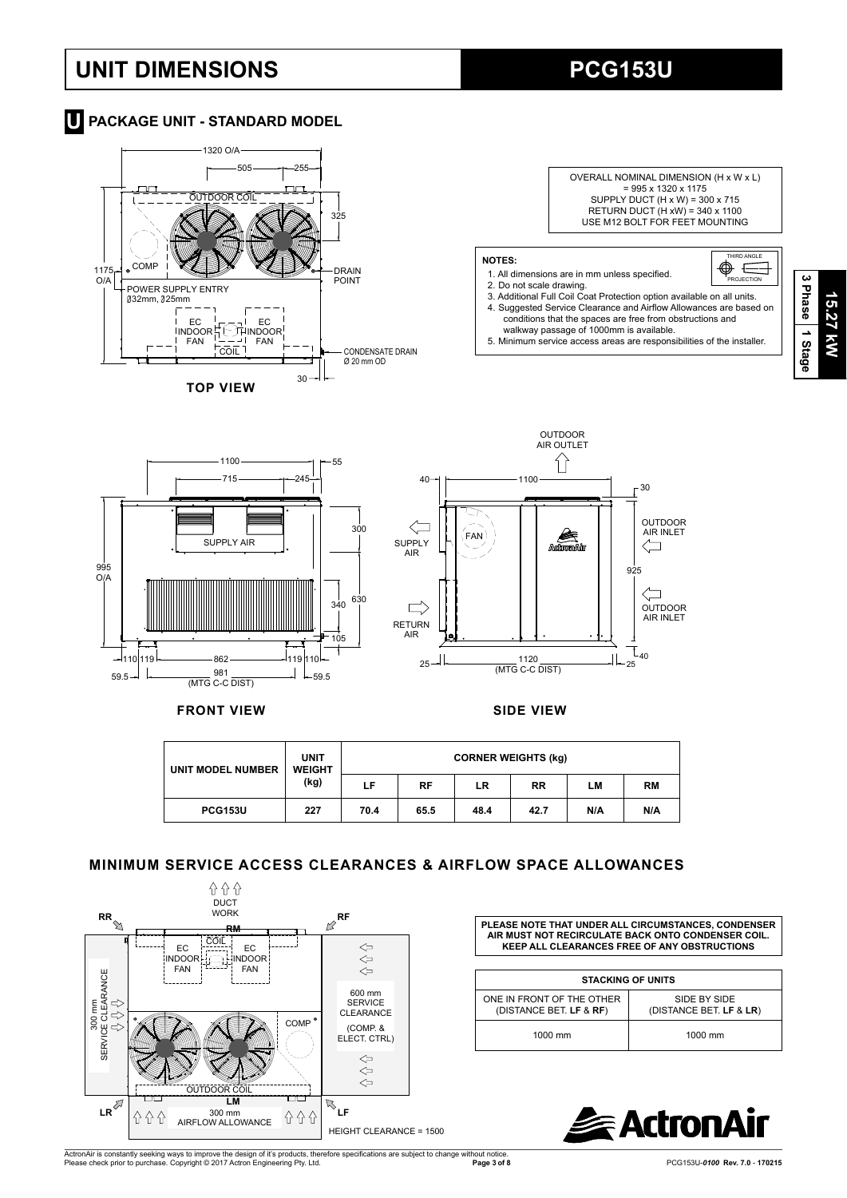# **UNIT DIMENSIONS PCG153U**

# **T** PACKAGE UNIT - STANDARD MODEL





### **NOTES:**

- 1. All dimensions are in mm unless specified.
- 
- 2.Do not scale drawing. 3.Additional Full Coil Coat Protection option available on all units. 4. Suggested Service Clearance and Airflow Allowances are based on conditions that the spaces are free from obstructions and walkway passage of 1000mm is available.

5.Minimum service access areas are responsibilities of the installer.

THIRD ANGLE **PROJECTION** 

 $\equiv$ 



**FRONT VIEW SIDE VIEW**

| UNIT MODEL NUMBER | <b>UNIT</b><br><b>WEIGHT</b><br>(kg) |      |      | <b>CORNER WEIGHTS (kg)</b> |           |     |     |
|-------------------|--------------------------------------|------|------|----------------------------|-----------|-----|-----|
|                   |                                      | LF   | RF   | LR                         | <b>RR</b> | LМ  | RM  |
| <b>PCG153U</b>    | 227                                  | 70.4 | 65.5 | 48.4                       | 42.7      | N/A | N/A |

## **MINIMUM SERVICE ACCESS CLEARANCES & AIRFLOW SPACE ALLOWANCES**



**PLEASE NOTE THAT UNDER ALL CIRCUMSTANCES, CONDENSER AIR MUST NOT RECIRCULATE BACK ONTO CONDENSER COIL. KEEP ALL CLEARANCES FREE OF ANY OBSTRUCTIONS**

| <b>STACKING OF UNITS</b>                             |                                         |  |  |  |  |  |  |
|------------------------------------------------------|-----------------------------------------|--|--|--|--|--|--|
| ONE IN FRONT OF THE OTHER<br>(DISTANCE BET. LF & RF) | SIDE BY SIDE<br>(DISTANCE BET. LF & LR) |  |  |  |  |  |  |
| 1000 mm                                              | $1000$ mm                               |  |  |  |  |  |  |



ActronAir is constantly seeking ways to improve the design of it's products, therefore specifications are subject to change without notice.<br>Please check prior to purchase. Copyright © 2017 Actron Engineering Pty. Ltd.

**Page 3 of 8** PCG153U-*0100* **Rev. 7.0** - **170215**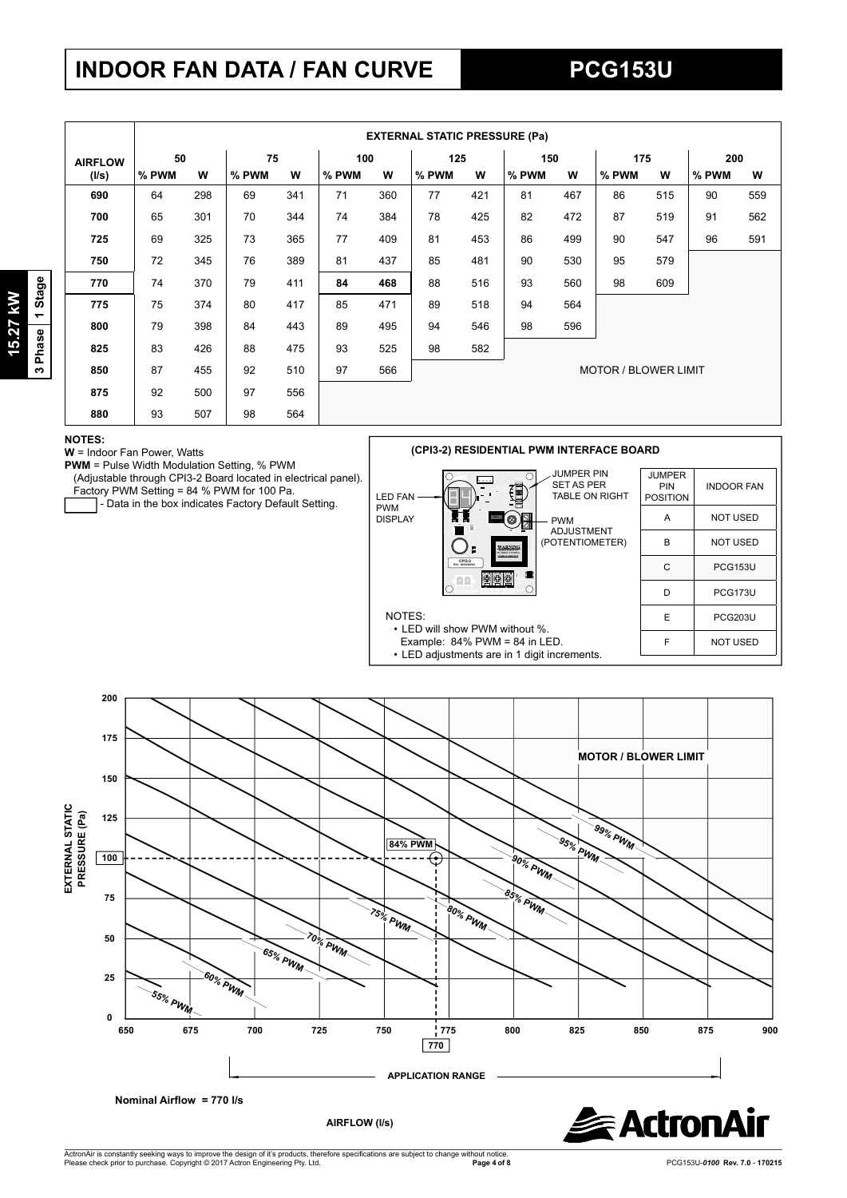# **INDOOR FAN DATA / FAN CURVE PCG153U**

3 Phase 1 Stage **3 Phase 1 Stage** 15.27 kW **15.27 kW**

|                |       | <b>EXTERNAL STATIC PRESSURE (Pa)</b> |       |     |       |     |       |     |       |     |                             |     |       |     |
|----------------|-------|--------------------------------------|-------|-----|-------|-----|-------|-----|-------|-----|-----------------------------|-----|-------|-----|
| <b>AIRFLOW</b> | 50    |                                      | 75    |     | 100   |     | 125   |     | 150   |     | 175                         |     | 200   |     |
| (I/s)          | % PWM | w                                    | % PWM | W   | % PWM | W   | % PWM | W   | % PWM | W   | % PWM                       | W   | % PWM | W   |
| 690            | 64    | 298                                  | 69    | 341 | 71    | 360 | 77    | 421 | 81    | 467 | 86                          | 515 | 90    | 559 |
| 700            | 65    | 301                                  | 70    | 344 | 74    | 384 | 78    | 425 | 82    | 472 | 87                          | 519 | 91    | 562 |
| 725            | 69    | 325                                  | 73    | 365 | 77    | 409 | 81    | 453 | 86    | 499 | 90                          | 547 | 96    | 591 |
| 750            | 72    | 345                                  | 76    | 389 | 81    | 437 | 85    | 481 | 90    | 530 | 95                          | 579 |       |     |
| 770            | 74    | 370                                  | 79    | 411 | 84    | 468 | 88    | 516 | 93    | 560 | 98                          | 609 |       |     |
| 775            | 75    | 374                                  | 80    | 417 | 85    | 471 | 89    | 518 | 94    | 564 |                             |     |       |     |
| 800            | 79    | 398                                  | 84    | 443 | 89    | 495 | 94    | 546 | 98    | 596 |                             |     |       |     |
| 825            | 83    | 426                                  | 88    | 475 | 93    | 525 | 98    | 582 |       |     |                             |     |       |     |
| 850            | 87    | 455                                  | 92    | 510 | 97    | 566 |       |     |       |     | <b>MOTOR / BLOWER LIMIT</b> |     |       |     |
| 875            | 92    | 500                                  | 97    | 556 |       |     |       |     |       |     |                             |     |       |     |
| 880            | 93    | 507                                  | 98    | 564 |       |     |       |     |       |     |                             |     |       |     |

#### **NOTES:**

**W** = Indoor Fan Power, Watts

**PWM** = Pulse Width Modulation Setting, % PWM

 (Adjustable through CPI3-2 Board located in electrical panel). Factory PWM Setting = 84 % PWM for 100 Pa.

- Data in the box indicates Factory Default Setting.

### **(CPI3-2) RESIDENTIAL PWM INTERFACE BOARD**



 Example: 84% PWM = 84 in LED. • LED adjustments are in 1 digit increments.

| <b>GHT</b> | <b>JUMPER</b><br>PIN<br><b>POSITION</b> | <b>INDOOR FAN</b> |
|------------|-----------------------------------------|-------------------|
|            | A                                       | <b>NOT USED</b>   |
| T<br>ER)   | B                                       | <b>NOT USED</b>   |
|            | C                                       | <b>PCG153U</b>    |
|            | D                                       | PCG173U           |
|            | E                                       | <b>PCG203U</b>    |
|            | F                                       | <b>NOT USED</b>   |
|            |                                         |                   |



ActronAir is constantly seeking ways to improve the design of it's products, therefore specifications are subject to change without notice.<br>Please check prior to purchase. Copyright © 2017 Actron Engineering Pty. Ltd.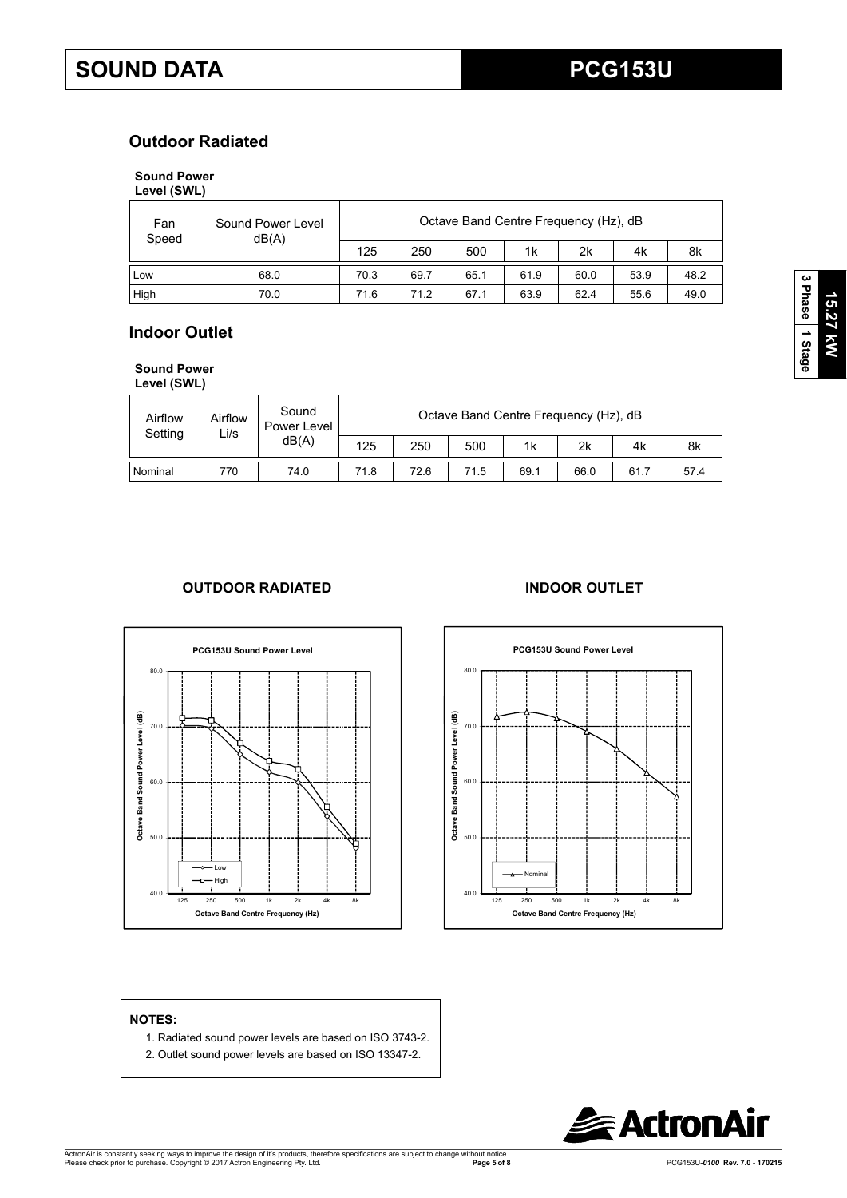# **Outdoor Radiated**

# **Sound Power**

**Level (SWL)**

| Fan<br>Speed | Octave Band Centre Frequency (Hz), dB<br>Sound Power Level<br>dB(A) |      |      |      |      |      |      |      |  |
|--------------|---------------------------------------------------------------------|------|------|------|------|------|------|------|--|
|              |                                                                     | 125  | 250  | 500  | 1k   | 2k   | 4k   | 8k   |  |
| Low          | 68.0                                                                | 70.3 | 69.7 | 65.1 | 61.9 | 60.0 | 53.9 | 48.2 |  |
| High         | 70.0                                                                | 71.6 | 71 2 | 67.1 | 63.9 | 62.4 | 55.6 | 49.0 |  |

# **Indoor Outlet**

**Sound Power** 

| Level (SWL) |
|-------------|
|             |

| Airflow<br>Setting<br>Li/s | Airflow | Sound<br>Power Level<br>dB(A) | Octave Band Centre Frequency (Hz), dB |      |      |      |      |      |      |  |
|----------------------------|---------|-------------------------------|---------------------------------------|------|------|------|------|------|------|--|
|                            |         |                               | 125                                   | 250  | 500  | 1k   | 2k   | 4k   | 8k   |  |
| Nominal                    | 770     | 74.0                          | 71.8                                  | 72.6 | 71.5 | 69.1 | 66.0 | 61.7 | 57.4 |  |

## **OUTDOOR RADIATED INDOOR OUTLET**





### **NOTES:**

- 1. Radiated sound power levels are based on ISO 3743-2.
- 2. Outlet sound power levels are based on ISO 13347-2.

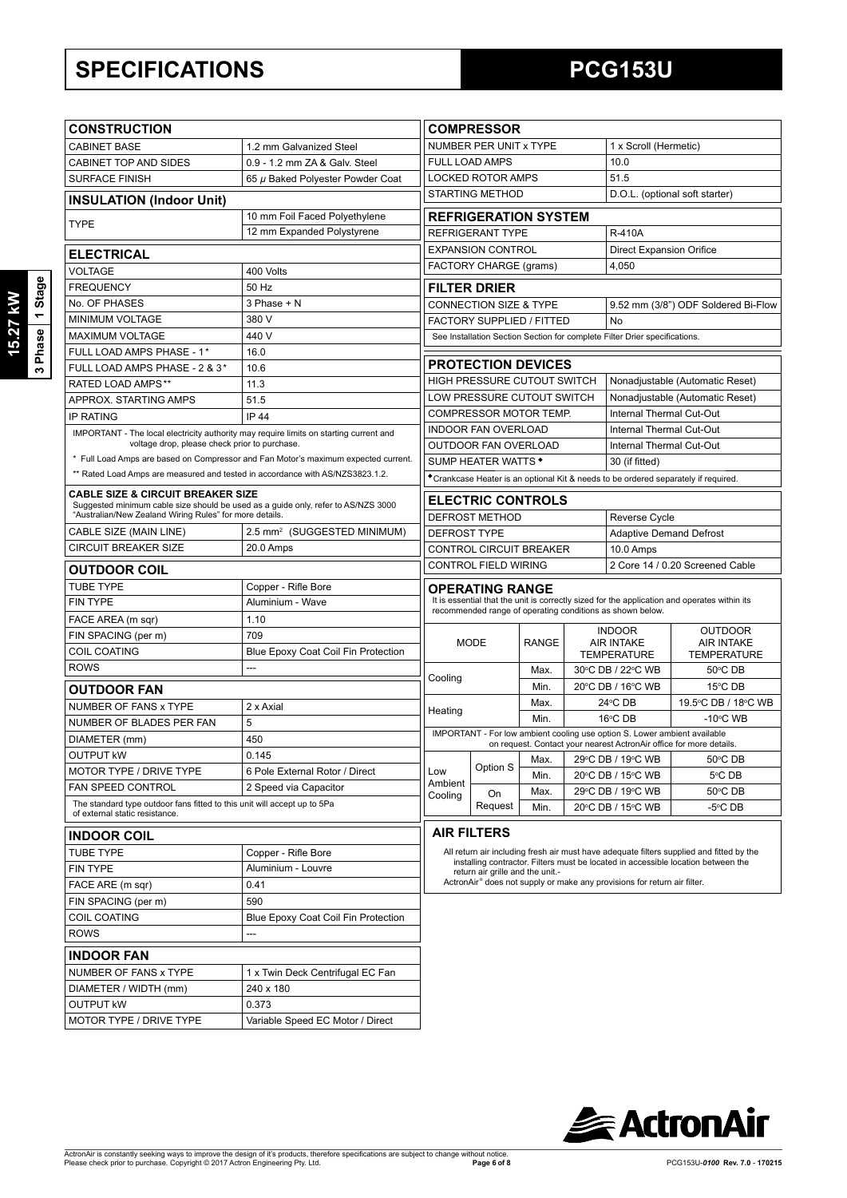# **SPECIFICATIONS PCG153U**

| <b>CONSTRUCTION</b>                                                                                                                          |                                                                                    |                                                                                                                                                                               | <b>COMPRESSOR</b>                                                                                               |              |                                                                                      |                                                                     |                                        |  |  |
|----------------------------------------------------------------------------------------------------------------------------------------------|------------------------------------------------------------------------------------|-------------------------------------------------------------------------------------------------------------------------------------------------------------------------------|-----------------------------------------------------------------------------------------------------------------|--------------|--------------------------------------------------------------------------------------|---------------------------------------------------------------------|----------------------------------------|--|--|
| <b>CABINET BASE</b>                                                                                                                          | 1.2 mm Galvanized Steel                                                            |                                                                                                                                                                               | NUMBER PER UNIT x TYPE                                                                                          |              |                                                                                      | 1 x Scroll (Hermetic)                                               |                                        |  |  |
| CABINET TOP AND SIDES                                                                                                                        | 0.9 - 1.2 mm ZA & Galv. Steel                                                      |                                                                                                                                                                               | <b>FULL LOAD AMPS</b>                                                                                           |              |                                                                                      |                                                                     | 10.0                                   |  |  |
| <b>SURFACE FINISH</b><br>65 µ Baked Polyester Powder Coat                                                                                    |                                                                                    | <b>LOCKED ROTOR AMPS</b>                                                                                                                                                      |                                                                                                                 |              |                                                                                      | 51.5                                                                |                                        |  |  |
| <b>INSULATION (Indoor Unit)</b>                                                                                                              |                                                                                    |                                                                                                                                                                               | <b>STARTING METHOD</b>                                                                                          |              |                                                                                      |                                                                     | D.O.L. (optional soft starter)         |  |  |
| 10 mm Foil Faced Polyethylene                                                                                                                |                                                                                    |                                                                                                                                                                               | <b>REFRIGERATION SYSTEM</b>                                                                                     |              |                                                                                      |                                                                     |                                        |  |  |
| <b>TYPE</b><br>12 mm Expanded Polystyrene                                                                                                    |                                                                                    | REFRIGERANT TYPE<br><b>R-410A</b>                                                                                                                                             |                                                                                                                 |              |                                                                                      |                                                                     |                                        |  |  |
|                                                                                                                                              |                                                                                    |                                                                                                                                                                               | <b>EXPANSION CONTROL</b>                                                                                        |              |                                                                                      | <b>Direct Expansion Orifice</b>                                     |                                        |  |  |
| <b>ELECTRICAL</b>                                                                                                                            |                                                                                    |                                                                                                                                                                               | FACTORY CHARGE (grams)                                                                                          |              |                                                                                      |                                                                     |                                        |  |  |
| <b>VOLTAGE</b><br><b>FREQUENCY</b>                                                                                                           | 400 Volts<br>50 Hz                                                                 |                                                                                                                                                                               |                                                                                                                 |              |                                                                                      |                                                                     |                                        |  |  |
| No. OF PHASES                                                                                                                                | $3$ Phase + N                                                                      |                                                                                                                                                                               | <b>FILTER DRIER</b><br>CONNECTION SIZE & TYPE<br>9.52 mm (3/8") ODF Soldered Bi-Flow                            |              |                                                                                      |                                                                     |                                        |  |  |
| MINIMUM VOLTAGE                                                                                                                              | 380 V                                                                              | <b>FACTORY SUPPLIED / FITTED</b>                                                                                                                                              |                                                                                                                 |              |                                                                                      | No                                                                  |                                        |  |  |
| <b>MAXIMUM VOLTAGE</b>                                                                                                                       | 440 V                                                                              |                                                                                                                                                                               |                                                                                                                 |              |                                                                                      |                                                                     |                                        |  |  |
| FULL LOAD AMPS PHASE - 1*                                                                                                                    |                                                                                    |                                                                                                                                                                               | See Installation Section Section for complete Filter Drier specifications.                                      |              |                                                                                      |                                                                     |                                        |  |  |
| FULL LOAD AMPS PHASE - 2 & 3*                                                                                                                | 16.0                                                                               |                                                                                                                                                                               | <b>PROTECTION DEVICES</b>                                                                                       |              |                                                                                      |                                                                     |                                        |  |  |
| <b>RATED LOAD AMPS**</b>                                                                                                                     | 10.6<br>11.3                                                                       |                                                                                                                                                                               | HIGH PRESSURE CUTOUT SWITCH                                                                                     |              | Nonadjustable (Automatic Reset)                                                      |                                                                     |                                        |  |  |
| APPROX. STARTING AMPS                                                                                                                        | 51.5                                                                               |                                                                                                                                                                               | LOW PRESSURE CUTOUT SWITCH                                                                                      |              |                                                                                      | Nonadjustable (Automatic Reset)                                     |                                        |  |  |
| <b>IP RATING</b>                                                                                                                             | <b>IP 44</b>                                                                       | COMPRESSOR MOTOR TEMP.                                                                                                                                                        |                                                                                                                 |              |                                                                                      | Internal Thermal Cut-Out                                            |                                        |  |  |
| IMPORTANT - The local electricity authority may require limits on starting current and                                                       |                                                                                    |                                                                                                                                                                               | <b>INDOOR FAN OVERLOAD</b>                                                                                      |              |                                                                                      | Internal Thermal Cut-Out                                            |                                        |  |  |
| voltage drop, please check prior to purchase.                                                                                                |                                                                                    |                                                                                                                                                                               | OUTDOOR FAN OVERLOAD                                                                                            |              |                                                                                      | Internal Thermal Cut-Out                                            |                                        |  |  |
|                                                                                                                                              | * Full Load Amps are based on Compressor and Fan Motor's maximum expected current. |                                                                                                                                                                               | SUMP HEATER WATTS *                                                                                             |              |                                                                                      | 30 (if fitted)                                                      |                                        |  |  |
| ** Rated Load Amps are measured and tested in accordance with AS/NZS3823.1.2.                                                                |                                                                                    | *Crankcase Heater is an optional Kit & needs to be ordered separately if required.                                                                                            |                                                                                                                 |              |                                                                                      |                                                                     |                                        |  |  |
| <b>CABLE SIZE &amp; CIRCUIT BREAKER SIZE</b>                                                                                                 |                                                                                    |                                                                                                                                                                               |                                                                                                                 |              |                                                                                      |                                                                     |                                        |  |  |
| Suggested minimum cable size should be used as a guide only, refer to AS/NZS 3000<br>"Australian/New Zealand Wiring Rules" for more details. |                                                                                    | <b>ELECTRIC CONTROLS</b><br>DEFROST METHOD                                                                                                                                    |                                                                                                                 |              |                                                                                      | Reverse Cycle                                                       |                                        |  |  |
| CABLE SIZE (MAIN LINE)                                                                                                                       | 2.5 mm <sup>2</sup> (SUGGESTED MINIMUM)                                            |                                                                                                                                                                               | <b>DEFROST TYPE</b>                                                                                             |              |                                                                                      |                                                                     | <b>Adaptive Demand Defrost</b>         |  |  |
| <b>CIRCUIT BREAKER SIZE</b>                                                                                                                  | 20.0 Amps                                                                          |                                                                                                                                                                               | CONTROL CIRCUIT BREAKER                                                                                         |              |                                                                                      | 10.0 Amps                                                           |                                        |  |  |
|                                                                                                                                              |                                                                                    |                                                                                                                                                                               | CONTROL FIELD WIRING                                                                                            |              |                                                                                      |                                                                     | 2 Core 14 / 0.20 Screened Cable        |  |  |
| <b>OUTDOOR COIL</b>                                                                                                                          |                                                                                    |                                                                                                                                                                               |                                                                                                                 |              |                                                                                      |                                                                     |                                        |  |  |
| <b>TUBE TYPE</b>                                                                                                                             | Copper - Rifle Bore                                                                |                                                                                                                                                                               | OPERATING RANGE<br>It is essential that the unit is correctly sized for the application and operates within its |              |                                                                                      |                                                                     |                                        |  |  |
| <b>FIN TYPE</b>                                                                                                                              | Aluminium - Wave                                                                   |                                                                                                                                                                               |                                                                                                                 |              |                                                                                      | recommended range of operating conditions as shown below.           |                                        |  |  |
| FACE AREA (m sqr)                                                                                                                            | 1.10                                                                               |                                                                                                                                                                               |                                                                                                                 |              | <b>INDOOR</b>                                                                        |                                                                     | <b>OUTDOOR</b>                         |  |  |
| FIN SPACING (per m)                                                                                                                          | 709                                                                                |                                                                                                                                                                               | MODE                                                                                                            | <b>RANGE</b> | <b>AIR INTAKE</b>                                                                    |                                                                     | <b>AIR INTAKE</b>                      |  |  |
| <b>COIL COATING</b>                                                                                                                          | Blue Epoxy Coat Coil Fin Protection<br>---                                         |                                                                                                                                                                               |                                                                                                                 |              | <b>TEMPERATURE</b>                                                                   |                                                                     | <b>TEMPERATURE</b>                     |  |  |
| <b>ROWS</b>                                                                                                                                  |                                                                                    | Cooling                                                                                                                                                                       |                                                                                                                 | Max.<br>Min. |                                                                                      | 30°C DB / 22°C WB                                                   | 50°C DB                                |  |  |
| <b>OUTDOOR FAN</b>                                                                                                                           |                                                                                    |                                                                                                                                                                               |                                                                                                                 |              |                                                                                      | 20°C DB / 16°C WB                                                   | 15°C DB                                |  |  |
| NUMBER OF FANS x TYPE                                                                                                                        | 2 x Axial                                                                          | Heating                                                                                                                                                                       |                                                                                                                 | Max.         |                                                                                      | 24°C DB                                                             | 19.5°C DB / 18°C WB                    |  |  |
| NUMBER OF BLADES PER FAN                                                                                                                     | 5                                                                                  |                                                                                                                                                                               |                                                                                                                 | Min.         | 16°C DB<br>IMPORTANT - For low ambient cooling use option S. Lower ambient available |                                                                     | $-10^{\circ}$ C WB                     |  |  |
| DIAMETER (mm)<br>450                                                                                                                         |                                                                                    |                                                                                                                                                                               |                                                                                                                 |              |                                                                                      | on request. Contact your nearest ActronAir office for more details. |                                        |  |  |
| <b>OUTPUT kW</b>                                                                                                                             | 0.145                                                                              |                                                                                                                                                                               |                                                                                                                 |              |                                                                                      |                                                                     | Max. 29°C DB / 19°C WB $\vert$ 50°C DB |  |  |
| MOTOR TYPE / DRIVE TYPE                                                                                                                      | 6 Pole External Rotor / Direct                                                     | Low                                                                                                                                                                           | Option S                                                                                                        | Min.         | 20°C DB / 15°C WB                                                                    |                                                                     | 5°C DB                                 |  |  |
| FAN SPEED CONTROL                                                                                                                            | 2 Speed via Capacitor                                                              | Ambient<br>Cooling                                                                                                                                                            | On                                                                                                              | Max.         | 29°C DB / 19°C WB                                                                    |                                                                     | 50°C DB                                |  |  |
| The standard type outdoor fans fitted to this unit will accept up to 5Pa<br>of external static resistance.                                   |                                                                                    |                                                                                                                                                                               | Request                                                                                                         | Min.         |                                                                                      | 20°C DB / 15°C WB                                                   | $-5^{\circ}$ CDB                       |  |  |
|                                                                                                                                              |                                                                                    |                                                                                                                                                                               |                                                                                                                 |              |                                                                                      |                                                                     |                                        |  |  |
| <b>INDOOR COIL</b>                                                                                                                           |                                                                                    |                                                                                                                                                                               | <b>AIR FILTERS</b>                                                                                              |              |                                                                                      |                                                                     |                                        |  |  |
| <b>TUBE TYPE</b><br>Copper - Rifle Bore<br>Aluminium - Louvre<br><b>FIN TYPE</b>                                                             |                                                                                    | All return air including fresh air must have adequate filters supplied and fitted by the<br>installing contractor. Filters must be located in accessible location between the |                                                                                                                 |              |                                                                                      |                                                                     |                                        |  |  |
|                                                                                                                                              |                                                                                    | return air grille and the unit.-<br>ActronAir <sup>®</sup> does not supply or make any provisions for return air filter.                                                      |                                                                                                                 |              |                                                                                      |                                                                     |                                        |  |  |
| FACE ARE (m sqr)                                                                                                                             | 0.41                                                                               |                                                                                                                                                                               |                                                                                                                 |              |                                                                                      |                                                                     |                                        |  |  |
| FIN SPACING (per m)                                                                                                                          | 590                                                                                |                                                                                                                                                                               |                                                                                                                 |              |                                                                                      |                                                                     |                                        |  |  |
| <b>COIL COATING</b>                                                                                                                          | Blue Epoxy Coat Coil Fin Protection                                                |                                                                                                                                                                               |                                                                                                                 |              |                                                                                      |                                                                     |                                        |  |  |
| <b>ROWS</b>                                                                                                                                  | ---                                                                                |                                                                                                                                                                               |                                                                                                                 |              |                                                                                      |                                                                     |                                        |  |  |
| <b>INDOOR FAN</b>                                                                                                                            |                                                                                    |                                                                                                                                                                               |                                                                                                                 |              |                                                                                      |                                                                     |                                        |  |  |
| NUMBER OF FANS x TYPE                                                                                                                        | 1 x Twin Deck Centrifugal EC Fan                                                   |                                                                                                                                                                               |                                                                                                                 |              |                                                                                      |                                                                     |                                        |  |  |
| DIAMETER / WIDTH (mm)                                                                                                                        | 240 x 180                                                                          |                                                                                                                                                                               |                                                                                                                 |              |                                                                                      |                                                                     |                                        |  |  |
| <b>OUTPUT KW</b>                                                                                                                             | 0.373                                                                              |                                                                                                                                                                               |                                                                                                                 |              |                                                                                      |                                                                     |                                        |  |  |
| MOTOR TYPE / DRIVE TYPE                                                                                                                      | Variable Speed EC Motor / Direct                                                   |                                                                                                                                                                               |                                                                                                                 |              |                                                                                      |                                                                     |                                        |  |  |
|                                                                                                                                              |                                                                                    |                                                                                                                                                                               |                                                                                                                 |              |                                                                                      |                                                                     |                                        |  |  |

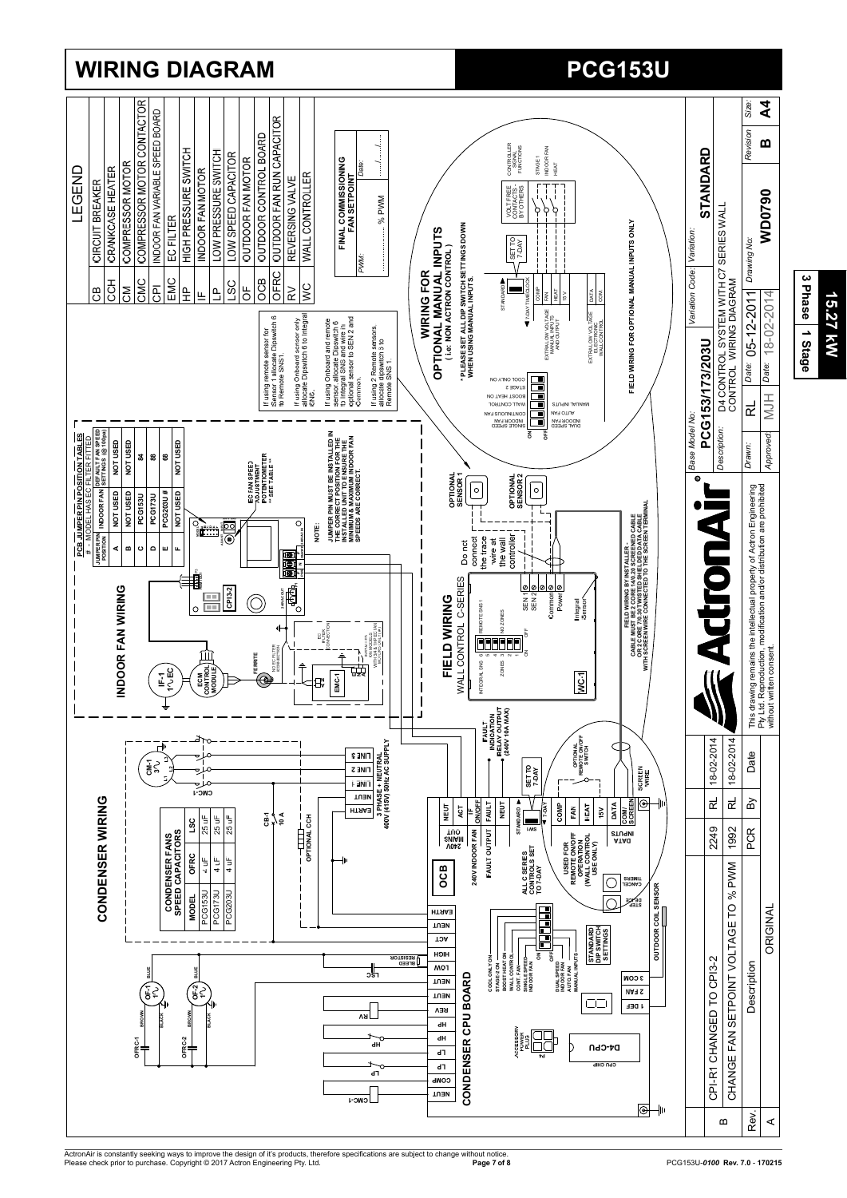

**PCG153U**

**15.27 kW**

15.27 kW

**WIRING DIAGRAM** 

ActronAir is constantly seeking ways to improve the design of it's products, therefore specifications are subject to change without notice.<br>Please check prior to purchase. Copyright © 2017 Actron Engineering Pty. Ltd.